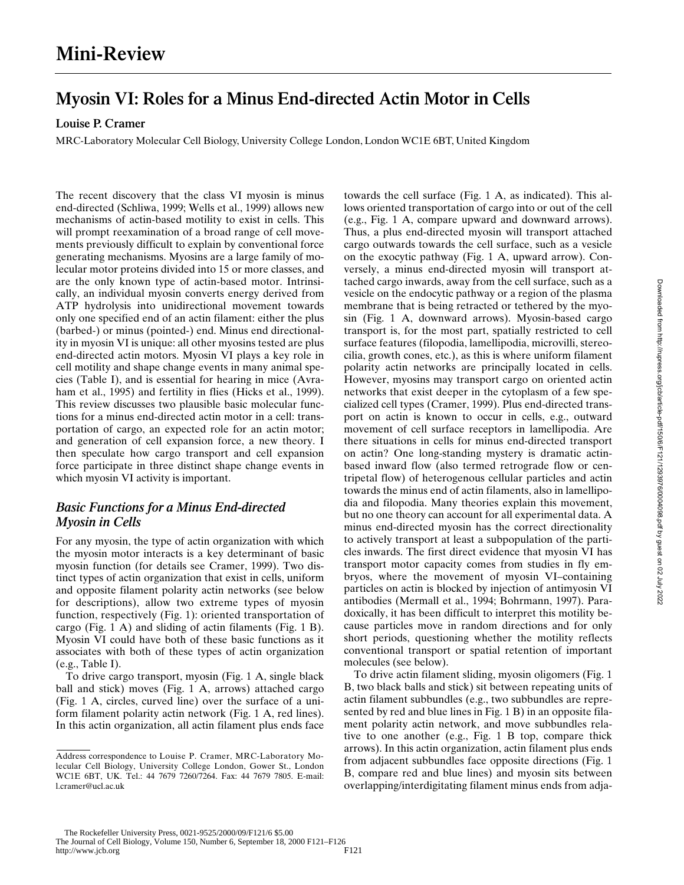# **Myosin VI: Roles for a Minus End-directed Actin Motor in Cells**

**Louise P. Cramer**

MRC-Laboratory Molecular Cell Biology, University College London, London WC1E 6BT, United Kingdom

The recent discovery that the class VI myosin is minus end-directed (Schliwa, 1999; Wells et al., 1999) allows new mechanisms of actin-based motility to exist in cells. This will prompt reexamination of a broad range of cell movements previously difficult to explain by conventional force generating mechanisms. Myosins are a large family of molecular motor proteins divided into 15 or more classes, and are the only known type of actin-based motor. Intrinsically, an individual myosin converts energy derived from ATP hydrolysis into unidirectional movement towards only one specified end of an actin filament: either the plus (barbed-) or minus (pointed-) end. Minus end directionality in myosin VI is unique: all other myosins tested are plus end-directed actin motors. Myosin VI plays a key role in cell motility and shape change events in many animal species (Table I), and is essential for hearing in mice (Avraham et al., 1995) and fertility in flies (Hicks et al., 1999). This review discusses two plausible basic molecular functions for a minus end-directed actin motor in a cell: transportation of cargo, an expected role for an actin motor; and generation of cell expansion force, a new theory. I then speculate how cargo transport and cell expansion force participate in three distinct shape change events in which myosin VI activity is important.

# *Basic Functions for a Minus End-directed Myosin in Cells*

For any myosin, the type of actin organization with which the myosin motor interacts is a key determinant of basic myosin function (for details see Cramer, 1999). Two distinct types of actin organization that exist in cells, uniform and opposite filament polarity actin networks (see below for descriptions), allow two extreme types of myosin function, respectively (Fig. 1): oriented transportation of cargo (Fig. 1 A) and sliding of actin filaments (Fig. 1 B). Myosin VI could have both of these basic functions as it associates with both of these types of actin organization (e.g., Table I).

To drive cargo transport, myosin (Fig. 1 A, single black ball and stick) moves (Fig. 1 A, arrows) attached cargo (Fig. 1 A, circles, curved line) over the surface of a uniform filament polarity actin network (Fig. 1 A, red lines). In this actin organization, all actin filament plus ends face

towards the cell surface (Fig. 1 A, as indicated). This allows oriented transportation of cargo into or out of the cell (e.g., Fig. 1 A, compare upward and downward arrows). Thus, a plus end-directed myosin will transport attached cargo outwards towards the cell surface, such as a vesicle on the exocytic pathway (Fig. 1 A, upward arrow). Conversely, a minus end-directed myosin will transport attached cargo inwards, away from the cell surface, such as a vesicle on the endocytic pathway or a region of the plasma membrane that is being retracted or tethered by the myosin (Fig. 1 A, downward arrows). Myosin-based cargo transport is, for the most part, spatially restricted to cell surface features (filopodia, lamellipodia, microvilli, stereocilia, growth cones, etc.), as this is where uniform filament polarity actin networks are principally located in cells. However, myosins may transport cargo on oriented actin networks that exist deeper in the cytoplasm of a few specialized cell types (Cramer, 1999). Plus end-directed transport on actin is known to occur in cells, e.g., outward movement of cell surface receptors in lamellipodia. Are there situations in cells for minus end-directed transport on actin? One long-standing mystery is dramatic actinbased inward flow (also termed retrograde flow or centripetal flow) of heterogenous cellular particles and actin towards the minus end of actin filaments, also in lamellipodia and filopodia. Many theories explain this movement, but no one theory can account for all experimental data. A minus end-directed myosin has the correct directionality to actively transport at least a subpopulation of the particles inwards. The first direct evidence that myosin VI has transport motor capacity comes from studies in fly embryos, where the movement of myosin VI–containing particles on actin is blocked by injection of antimyosin VI antibodies (Mermall et al., 1994; Bohrmann, 1997). Paradoxically, it has been difficult to interpret this motility because particles move in random directions and for only short periods, questioning whether the motility reflects conventional transport or spatial retention of important molecules (see below).

To drive actin filament sliding, myosin oligomers (Fig. 1 B, two black balls and stick) sit between repeating units of actin filament subbundles (e.g., two subbundles are represented by red and blue lines in Fig. 1 B) in an opposite filament polarity actin network, and move subbundles relative to one another (e.g., Fig. 1 B top, compare thick arrows). In this actin organization, actin filament plus ends from adjacent subbundles face opposite directions (Fig. 1 B, compare red and blue lines) and myosin sits between overlapping/interdigitating filament minus ends from adja-

Address correspondence to Louise P. Cramer, MRC-Laboratory Molecular Cell Biology, University College London, Gower St., London WC1E 6BT, UK. Tel.: 44 7679 7260/7264. Fax: 44 7679 7805. E-mail: l.cramer@ucl.ac.uk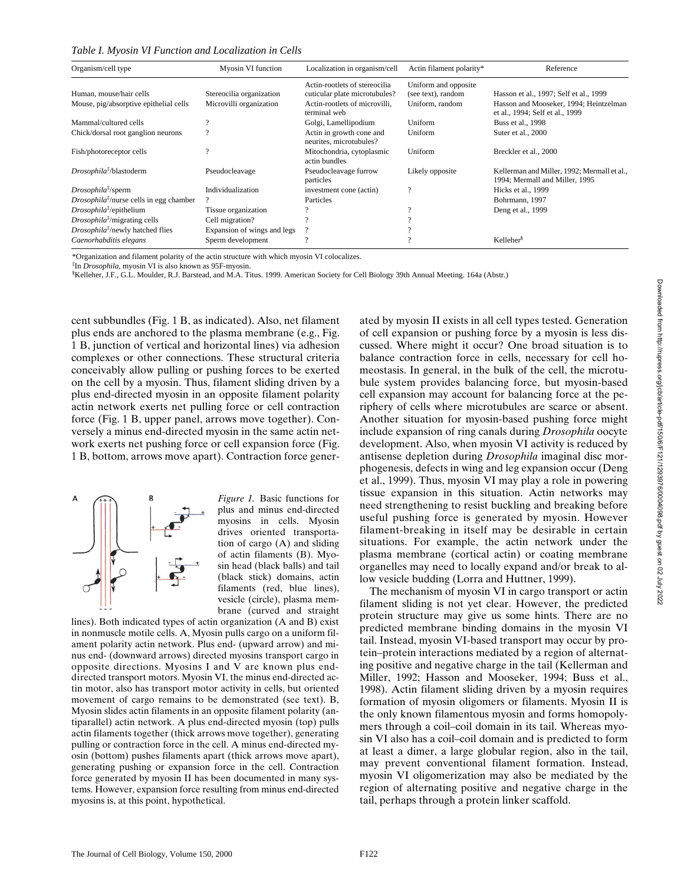*Table I. Myosin VI Function and Localization in Cells*

| Organism/cell type                                         | Myosin VI function          | Localization in organism/cell                                  | Actin filament polarity*                   | Reference                                                                     |
|------------------------------------------------------------|-----------------------------|----------------------------------------------------------------|--------------------------------------------|-------------------------------------------------------------------------------|
| Human, mouse/hair cells                                    | Stereocilia organization    | Actin-rootlets of stereocilia<br>cuticular plate microtubules? | Uniform and opposite<br>(see text), random | Hasson et al., 1997; Self et al., 1999                                        |
| Mouse, pig/absorptive epithelial cells                     | Microvilli organization     | Actin-rootlets of microvilli.<br>terminal web                  | Uniform, random                            | Hasson and Mooseker, 1994; Heintzelman<br>et al., 1994; Self et al., 1999     |
| Mammal/cultured cells                                      |                             | Golgi, Lamellipodium                                           | Uniform                                    | Buss et al., 1998                                                             |
| Chick/dorsal root ganglion neurons                         |                             | Actin in growth cone and<br>neurites, microtubules?            | Uniform                                    | Suter et al., 2000                                                            |
| Fish/photoreceptor cells                                   | $\Omega$                    | Mitochondria, cytoplasmic<br>actin bundles                     | Uniform                                    | Breckler et al., 2000                                                         |
| Drosophila <sup>‡</sup> /blastoderm                        | Pseudocleavage              | Pseudocleavage furrow<br>particles                             | Likely opposite                            | Kellerman and Miller, 1992; Mermall et al.,<br>1994; Mermall and Miller, 1995 |
| $Drosophila^{\ddagger}/sperm$                              | Individualization           | investment cone (actin)                                        | $\mathcal{P}$                              | Hicks et al., 1999                                                            |
| <i>Drosophila</i> <sup>†</sup> /nurse cells in egg chamber |                             | Particles                                                      |                                            | Bohrmann, 1997                                                                |
| $Drosophila^{\ddagger}/epithelium$                         | Tissue organization         |                                                                |                                            | Deng et al., 1999                                                             |
| Drosophila <sup>‡</sup> /migrating cells                   | Cell migration?             |                                                                |                                            |                                                                               |
| <i>Drosophila<sup>†</sup></i> /newly hatched flies         | Expansion of wings and legs |                                                                |                                            |                                                                               |
| Caenorhabditis elegans                                     | Sperm development           | $\Omega$                                                       |                                            | Kelleher <sup>§</sup>                                                         |

\*Organization and filament polarity of the actin structure with which myosin VI colocalizes.

‡ In *Drosophila,* myosin VI is also known as 95F-myosin.

§ Kelleher, J.F., G.L. Moulder, R.J. Barstead, and M.A. Titus. 1999. American Society for Cell Biology 39th Annual Meeting. 164a (Abstr.)

cent subbundles (Fig. 1 B, as indicated). Also, net filament plus ends are anchored to the plasma membrane (e.g., Fig. 1 B, junction of vertical and horizontal lines) via adhesion complexes or other connections. These structural criteria conceivably allow pulling or pushing forces to be exerted on the cell by a myosin. Thus, filament sliding driven by a plus end-directed myosin in an opposite filament polarity actin network exerts net pulling force or cell contraction force (Fig. 1 B, upper panel, arrows move together). Conversely a minus end-directed myosin in the same actin network exerts net pushing force or cell expansion force (Fig. 1 B, bottom, arrows move apart). Contraction force gener-



*Figure 1.* Basic functions for plus and minus end-directed myosins in cells. Myosin drives oriented transportation of cargo (A) and sliding of actin filaments (B). Myosin head (black balls) and tail (black stick) domains, actin filaments (red, blue lines), vesicle (circle), plasma membrane (curved and straight

lines). Both indicated types of actin organization (A and B) exist in nonmuscle motile cells. A, Myosin pulls cargo on a uniform filament polarity actin network. Plus end- (upward arrow) and minus end- (downward arrows) directed myosins transport cargo in opposite directions. Myosins I and V are known plus enddirected transport motors. Myosin VI, the minus end-directed actin motor, also has transport motor activity in cells, but oriented movement of cargo remains to be demonstrated (see text). B, Myosin slides actin filaments in an opposite filament polarity (antiparallel) actin network. A plus end-directed myosin (top) pulls actin filaments together (thick arrows move together), generating pulling or contraction force in the cell. A minus end-directed myosin (bottom) pushes filaments apart (thick arrows move apart), generating pushing or expansion force in the cell. Contraction force generated by myosin II has been documented in many systems. However, expansion force resulting from minus end-directed myosins is, at this point, hypothetical.

ated by myosin II exists in all cell types tested. Generation of cell expansion or pushing force by a myosin is less discussed. Where might it occur? One broad situation is to balance contraction force in cells, necessary for cell homeostasis. In general, in the bulk of the cell, the microtubule system provides balancing force, but myosin-based cell expansion may account for balancing force at the periphery of cells where microtubules are scarce or absent. Another situation for myosin-based pushing force might include expansion of ring canals during *Drosophila* oocyte development. Also, when myosin VI activity is reduced by antisense depletion during *Drosophila* imaginal disc morphogenesis, defects in wing and leg expansion occur (Deng et al., 1999). Thus, myosin VI may play a role in powering tissue expansion in this situation. Actin networks may need strengthening to resist buckling and breaking before useful pushing force is generated by myosin. However filament-breaking in itself may be desirable in certain situations. For example, the actin network under the plasma membrane (cortical actin) or coating membrane organelles may need to locally expand and/or break to allow vesicle budding (Lorra and Huttner, 1999).

The mechanism of myosin VI in cargo transport or actin filament sliding is not yet clear. However, the predicted protein structure may give us some hints. There are no predicted membrane binding domains in the myosin VI tail. Instead, myosin VI-based transport may occur by protein–protein interactions mediated by a region of alternating positive and negative charge in the tail (Kellerman and Miller, 1992; Hasson and Mooseker, 1994; Buss et al., 1998). Actin filament sliding driven by a myosin requires formation of myosin oligomers or filaments. Myosin II is the only known filamentous myosin and forms homopolymers through a coil–coil domain in its tail. Whereas myosin VI also has a coil–coil domain and is predicted to form at least a dimer, a large globular region, also in the tail, may prevent conventional filament formation. Instead, myosin VI oligomerization may also be mediated by the region of alternating positive and negative charge in the tail, perhaps through a protein linker scaffold.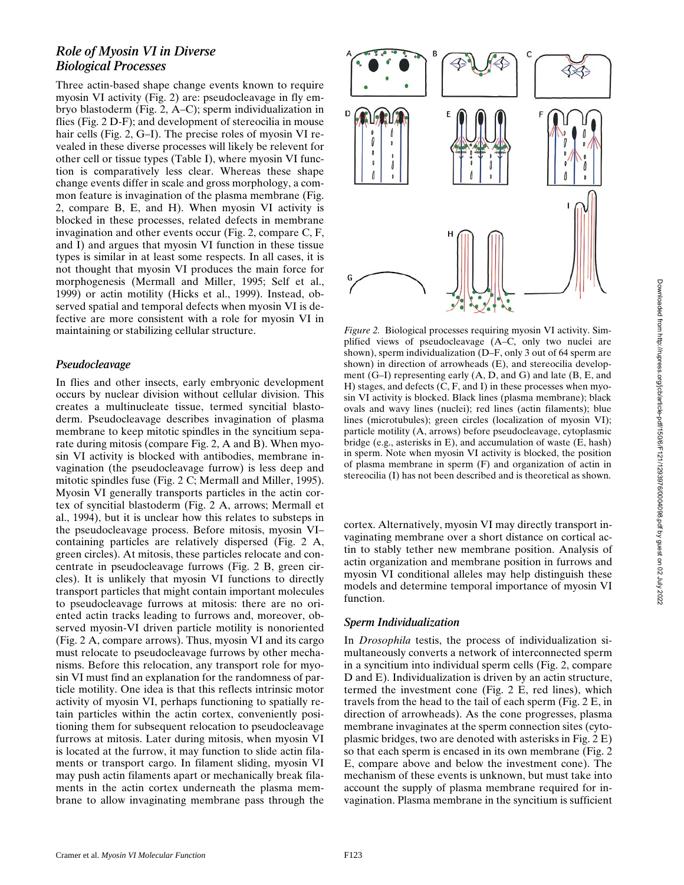## *Role of Myosin VI in Diverse Biological Processes*

Three actin-based shape change events known to require myosin VI activity (Fig. 2) are: pseudocleavage in fly embryo blastoderm (Fig. 2, A–C); sperm individualization in flies (Fig. 2 D-F); and development of stereocilia in mouse hair cells (Fig. 2, G–I). The precise roles of myosin VI revealed in these diverse processes will likely be relevent for other cell or tissue types (Table I), where myosin VI function is comparatively less clear. Whereas these shape change events differ in scale and gross morphology, a common feature is invagination of the plasma membrane (Fig. 2, compare B, E, and H). When myosin VI activity is blocked in these processes, related defects in membrane invagination and other events occur (Fig. 2, compare C, F, and I) and argues that myosin VI function in these tissue types is similar in at least some respects. In all cases, it is not thought that myosin VI produces the main force for morphogenesis (Mermall and Miller, 1995; Self et al., 1999) or actin motility (Hicks et al., 1999). Instead, observed spatial and temporal defects when myosin VI is defective are more consistent with a role for myosin VI in maintaining or stabilizing cellular structure.

#### *Pseudocleavage*

In flies and other insects, early embryonic development occurs by nuclear division without cellular division. This creates a multinucleate tissue, termed syncitial blastoderm. Pseudocleavage describes invagination of plasma membrane to keep mitotic spindles in the syncitium separate during mitosis (compare Fig. 2, A and B). When myosin VI activity is blocked with antibodies, membrane invagination (the pseudocleavage furrow) is less deep and mitotic spindles fuse (Fig. 2 C; Mermall and Miller, 1995). Myosin VI generally transports particles in the actin cortex of syncitial blastoderm (Fig. 2 A, arrows; Mermall et al., 1994), but it is unclear how this relates to substeps in the pseudocleavage process. Before mitosis, myosin VI– containing particles are relatively dispersed (Fig. 2 A, green circles). At mitosis, these particles relocate and concentrate in pseudocleavage furrows (Fig. 2 B, green circles). It is unlikely that myosin VI functions to directly transport particles that might contain important molecules to pseudocleavage furrows at mitosis: there are no oriented actin tracks leading to furrows and, moreover, observed myosin-VI driven particle motility is nonoriented (Fig. 2 A, compare arrows). Thus, myosin VI and its cargo must relocate to pseudocleavage furrows by other mechanisms. Before this relocation, any transport role for myosin VI must find an explanation for the randomness of particle motility. One idea is that this reflects intrinsic motor activity of myosin VI, perhaps functioning to spatially retain particles within the actin cortex, conveniently positioning them for subsequent relocation to pseudocleavage furrows at mitosis. Later during mitosis, when myosin VI is located at the furrow, it may function to slide actin filaments or transport cargo. In filament sliding, myosin VI may push actin filaments apart or mechanically break filaments in the actin cortex underneath the plasma membrane to allow invaginating membrane pass through the



*Figure 2.* Biological processes requiring myosin VI activity. Simplified views of pseudocleavage (A–C, only two nuclei are shown), sperm individualization (D–F, only 3 out of 64 sperm are shown) in direction of arrowheads (E), and stereocilia development (G–I) representing early (A, D, and G) and late (B, E, and H) stages, and defects (C, F, and I) in these processes when myosin VI activity is blocked. Black lines (plasma membrane); black ovals and wavy lines (nuclei); red lines (actin filaments); blue lines (microtubules); green circles (localization of myosin VI); particle motility (A, arrows) before pseudocleavage, cytoplasmic bridge (e.g., asterisks in E), and accumulation of waste (E, hash) in sperm. Note when myosin VI activity is blocked, the position of plasma membrane in sperm (F) and organization of actin in stereocilia (I) has not been described and is theoretical as shown.

cortex. Alternatively, myosin VI may directly transport invaginating membrane over a short distance on cortical actin to stably tether new membrane position. Analysis of actin organization and membrane position in furrows and myosin VI conditional alleles may help distinguish these models and determine temporal importance of myosin VI function.

#### *Sperm Individualization*

In *Drosophila* testis, the process of individualization simultaneously converts a network of interconnected sperm in a syncitium into individual sperm cells (Fig. 2, compare D and E). Individualization is driven by an actin structure, termed the investment cone (Fig. 2 E, red lines), which travels from the head to the tail of each sperm (Fig. 2 E, in direction of arrowheads). As the cone progresses, plasma membrane invaginates at the sperm connection sites (cytoplasmic bridges, two are denoted with asterisks in Fig. 2 E) so that each sperm is encased in its own membrane (Fig. 2 E, compare above and below the investment cone). The mechanism of these events is unknown, but must take into account the supply of plasma membrane required for invagination. Plasma membrane in the syncitium is sufficient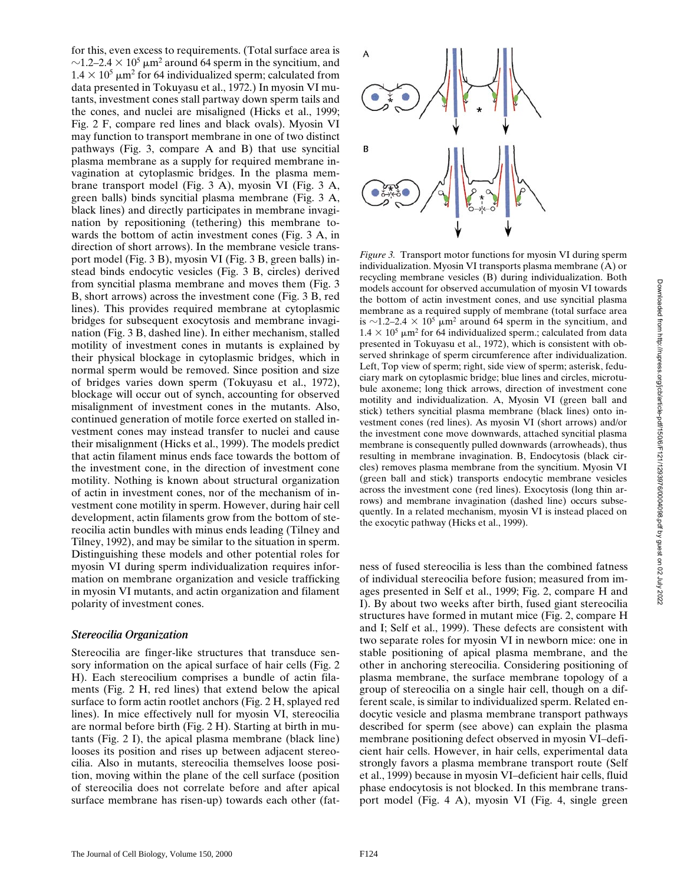for this, even excess to requirements. (Total surface area is  $\sim$ 1.2–2.4  $\times$  10<sup>5</sup> µm<sup>2</sup> around 64 sperm in the syncitium, and  $1.4 \times 10^5$   $\mu$ m<sup>2</sup> for 64 individualized sperm; calculated from data presented in Tokuyasu et al., 1972.) In myosin VI mutants, investment cones stall partway down sperm tails and the cones, and nuclei are misaligned (Hicks et al., 1999; Fig. 2 F, compare red lines and black ovals). Myosin VI may function to transport membrane in one of two distinct pathways (Fig. 3, compare A and B) that use syncitial plasma membrane as a supply for required membrane invagination at cytoplasmic bridges. In the plasma membrane transport model (Fig. 3 A), myosin VI (Fig. 3 A, green balls) binds syncitial plasma membrane (Fig. 3 A, black lines) and directly participates in membrane invagination by repositioning (tethering) this membrane towards the bottom of actin investment cones (Fig. 3 A, in direction of short arrows). In the membrane vesicle transport model (Fig. 3 B), myosin VI (Fig. 3 B, green balls) instead binds endocytic vesicles (Fig. 3 B, circles) derived from syncitial plasma membrane and moves them (Fig. 3 B, short arrows) across the investment cone (Fig. 3 B, red lines). This provides required membrane at cytoplasmic bridges for subsequent exocytosis and membrane invagination (Fig. 3 B, dashed line). In either mechanism, stalled motility of investment cones in mutants is explained by their physical blockage in cytoplasmic bridges, which in normal sperm would be removed. Since position and size of bridges varies down sperm (Tokuyasu et al., 1972), blockage will occur out of synch, accounting for observed misalignment of investment cones in the mutants. Also, continued generation of motile force exerted on stalled investment cones may instead transfer to nuclei and cause their misalignment (Hicks et al., 1999). The models predict that actin filament minus ends face towards the bottom of the investment cone, in the direction of investment cone motility. Nothing is known about structural organization of actin in investment cones, nor of the mechanism of investment cone motility in sperm. However, during hair cell development, actin filaments grow from the bottom of stereocilia actin bundles with minus ends leading (Tilney and Tilney, 1992), and may be similar to the situation in sperm. Distinguishing these models and other potential roles for myosin VI during sperm individualization requires information on membrane organization and vesicle trafficking in myosin VI mutants, and actin organization and filament polarity of investment cones.

#### *Stereocilia Organization*

Stereocilia are finger-like structures that transduce sensory information on the apical surface of hair cells (Fig. 2 H). Each stereocilium comprises a bundle of actin filaments (Fig. 2 H, red lines) that extend below the apical surface to form actin rootlet anchors (Fig. 2 H, splayed red lines). In mice effectively null for myosin VI, stereocilia are normal before birth (Fig. 2 H). Starting at birth in mutants (Fig. 2 I), the apical plasma membrane (black line) looses its position and rises up between adjacent stereocilia. Also in mutants, stereocilia themselves loose position, moving within the plane of the cell surface (position of stereocilia does not correlate before and after apical surface membrane has risen-up) towards each other (fat-



*Figure 3.* Transport motor functions for myosin VI during sperm individualization. Myosin VI transports plasma membrane (A) or recycling membrane vesicles (B) during individualization. Both models account for observed accumulation of myosin VI towards the bottom of actin investment cones, and use syncitial plasma membrane as a required supply of membrane (total surface area is  $\sim$ 1.2–2.4  $\times$  10<sup>5</sup> µm<sup>2</sup> around 64 sperm in the syncitium, and  $1.4 \times 10^5$   $\mu$ m<sup>2</sup> for 64 individualized sperm.; calculated from data presented in Tokuyasu et al., 1972), which is consistent with observed shrinkage of sperm circumference after individualization. Left, Top view of sperm; right, side view of sperm; asterisk, feduciary mark on cytoplasmic bridge; blue lines and circles, microtubule axoneme; long thick arrows, direction of investment cone motility and individualization. A, Myosin VI (green ball and stick) tethers syncitial plasma membrane (black lines) onto investment cones (red lines). As myosin VI (short arrows) and/or the investment cone move downwards, attached syncitial plasma membrane is consequently pulled downwards (arrowheads), thus resulting in membrane invagination. B, Endocytosis (black circles) removes plasma membrane from the syncitium. Myosin VI (green ball and stick) transports endocytic membrane vesicles across the investment cone (red lines). Exocytosis (long thin arrows) and membrane invagination (dashed line) occurs subsequently. In a related mechanism, myosin VI is instead placed on the exocytic pathway (Hicks et al., 1999).

ness of fused stereocilia is less than the combined fatness of individual stereocilia before fusion; measured from images presented in Self et al., 1999; Fig. 2, compare H and I). By about two weeks after birth, fused giant stereocilia structures have formed in mutant mice (Fig. 2, compare H and I; Self et al., 1999). These defects are consistent with two separate roles for myosin VI in newborn mice: one in stable positioning of apical plasma membrane, and the other in anchoring stereocilia. Considering positioning of plasma membrane, the surface membrane topology of a group of stereocilia on a single hair cell, though on a different scale, is similar to individualized sperm. Related endocytic vesicle and plasma membrane transport pathways described for sperm (see above) can explain the plasma membrane positioning defect observed in myosin VI–deficient hair cells. However, in hair cells, experimental data strongly favors a plasma membrane transport route (Self et al., 1999) because in myosin VI–deficient hair cells, fluid phase endocytosis is not blocked. In this membrane transport model (Fig. 4 A), myosin VI (Fig. 4, single green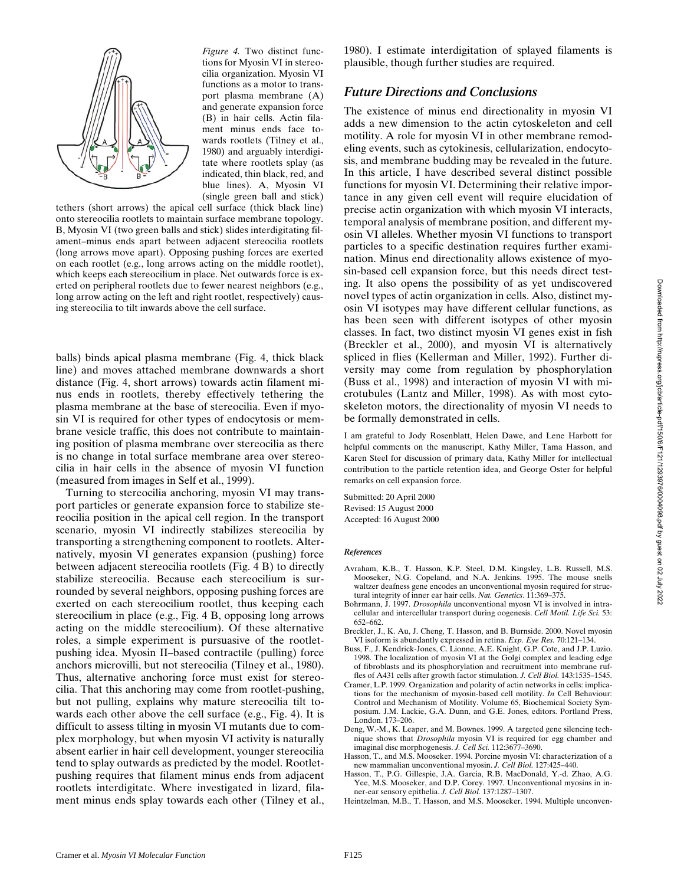

*Figure 4.* Two distinct functions for Myosin VI in stereocilia organization. Myosin VI functions as a motor to transport plasma membrane (A) and generate expansion force (B) in hair cells. Actin filament minus ends face towards rootlets (Tilney et al., 1980) and arguably interdigitate where rootlets splay (as indicated, thin black, red, and blue lines). A, Myosin VI (single green ball and stick)

tethers (short arrows) the apical cell surface (thick black line) onto stereocilia rootlets to maintain surface membrane topology. B, Myosin VI (two green balls and stick) slides interdigitating filament–minus ends apart between adjacent stereocilia rootlets (long arrows move apart). Opposing pushing forces are exerted on each rootlet (e.g., long arrows acting on the middle rootlet), which keeps each stereocilium in place. Net outwards force is exerted on peripheral rootlets due to fewer nearest neighbors (e.g., long arrow acting on the left and right rootlet, respectively) causing stereocilia to tilt inwards above the cell surface.

balls) binds apical plasma membrane (Fig. 4, thick black line) and moves attached membrane downwards a short distance (Fig. 4, short arrows) towards actin filament minus ends in rootlets, thereby effectively tethering the plasma membrane at the base of stereocilia. Even if myosin VI is required for other types of endocytosis or membrane vesicle traffic, this does not contribute to maintaining position of plasma membrane over stereocilia as there is no change in total surface membrane area over stereocilia in hair cells in the absence of myosin VI function (measured from images in Self et al., 1999).

Turning to stereocilia anchoring, myosin VI may transport particles or generate expansion force to stabilize stereocilia position in the apical cell region. In the transport scenario, myosin VI indirectly stabilizes stereocilia by transporting a strengthening component to rootlets. Alternatively, myosin VI generates expansion (pushing) force between adjacent stereocilia rootlets (Fig. 4 B) to directly stabilize stereocilia. Because each stereocilium is surrounded by several neighbors, opposing pushing forces are exerted on each stereocilium rootlet, thus keeping each stereocilium in place (e.g., Fig. 4 B, opposing long arrows acting on the middle stereocilium). Of these alternative roles, a simple experiment is pursuasive of the rootletpushing idea. Myosin II–based contractile (pulling) force anchors microvilli, but not stereocilia (Tilney et al., 1980). Thus, alternative anchoring force must exist for stereocilia. That this anchoring may come from rootlet-pushing, but not pulling, explains why mature stereocilia tilt towards each other above the cell surface (e.g., Fig. 4). It is difficult to assess tilting in myosin VI mutants due to complex morphology, but when myosin VI activity is naturally absent earlier in hair cell development, younger stereocilia tend to splay outwards as predicted by the model. Rootletpushing requires that filament minus ends from adjacent rootlets interdigitate. Where investigated in lizard, filament minus ends splay towards each other (Tilney et al., 1980). I estimate interdigitation of splayed filaments is plausible, though further studies are required.

### *Future Directions and Conclusions*

The existence of minus end directionality in myosin VI adds a new dimension to the actin cytoskeleton and cell motility. A role for myosin VI in other membrane remodeling events, such as cytokinesis, cellularization, endocytosis, and membrane budding may be revealed in the future. In this article, I have described several distinct possible functions for myosin VI. Determining their relative importance in any given cell event will require elucidation of precise actin organization with which myosin VI interacts, temporal analysis of membrane position, and different myosin VI alleles. Whether myosin VI functions to transport particles to a specific destination requires further examination. Minus end directionality allows existence of myosin-based cell expansion force, but this needs direct testing. It also opens the possibility of as yet undiscovered novel types of actin organization in cells. Also, distinct myosin VI isotypes may have different cellular functions, as has been seen with different isotypes of other myosin classes. In fact, two distinct myosin VI genes exist in fish (Breckler et al., 2000), and myosin VI is alternatively spliced in flies (Kellerman and Miller, 1992). Further diversity may come from regulation by phosphorylation (Buss et al., 1998) and interaction of myosin VI with microtubules (Lantz and Miller, 1998). As with most cytoskeleton motors, the directionality of myosin VI needs to be formally demonstrated in cells.

I am grateful to Jody Rosenblatt, Helen Dawe, and Lene Harbott for helpful comments on the manuscript, Kathy Miller, Tama Hasson, and Karen Steel for discussion of primary data, Kathy Miller for intellectual contribution to the particle retention idea, and George Oster for helpful remarks on cell expansion force.

Submitted: 20 April 2000 Revised: 15 August 2000 Accepted: 16 August 2000

#### *References*

- Avraham, K.B., T. Hasson, K.P. Steel, D.M. Kingsley, L.B. Russell, M.S. Mooseker, N.G. Copeland, and N.A. Jenkins. 1995. The mouse snells waltzer deafness gene encodes an unconventional myosin required for structural integrity of inner ear hair cells. *Nat. Genetics*. 11:369–375.
- Bohrmann, J. 1997. *Drosophila* unconventional myosn VI is involved in intracellular and intercellular transport during oogenesis. *Cell Motil. Life Sci.* 53: 652–662.
- Breckler, J., K. Au, J. Cheng, T. Hasson, and B. Burnside. 2000. Novel myosin VI isoform is abundantly expressed in retina. *Exp. Eye Res.* 70:121–134.
- Buss, F., J. Kendrick-Jones, C. Lionne, A.E. Knight, G.P. Cote, and J.P. Luzio. 1998. The localization of myosin VI at the Golgi complex and leading edge of fibroblasts and its phosphorylation and recruitment into membrane ruffles of A431 cells after growth factor stimulation. *J. Cell Biol.* 143:1535–1545.
- Cramer, L.P. 1999. Organization and polarity of actin networks in cells: implications for the mechanism of myosin-based cell motility. *In* Cell Behaviour: Control and Mechanism of Motility. Volume 65, Biochemical Society Symposium. J.M. Lackie, G.A. Dunn, and G.E. Jones, editors. Portland Press, London. 173–206.
- Deng, W.-M., K. Leaper, and M. Bownes. 1999. A targeted gene silencing technique shows that *Drosophila* myosin VI is required for egg chamber and imaginal disc morphogenesis. *J. Cell Sci.* 112:3677–3690.
- Hasson, T., and M.S. Mooseker. 1994. Porcine myosin VI: characterization of a new mammalian unconventional myosin. *J. Cell Biol.* 127:425–440.
- Hasson, T., P.G. Gillespie, J.A. Garcia, R.B. MacDonald, Y.-d. Zhao, A.G. Yee, M.S. Mooseker, and D.P. Corey. 1997. Unconventional myosins in inner-ear sensory epithelia. *J. Cell Biol.* 137:1287–1307.
- Heintzelman, M.B., T. Hasson, and M.S. Mooseker. 1994. Multiple unconven-